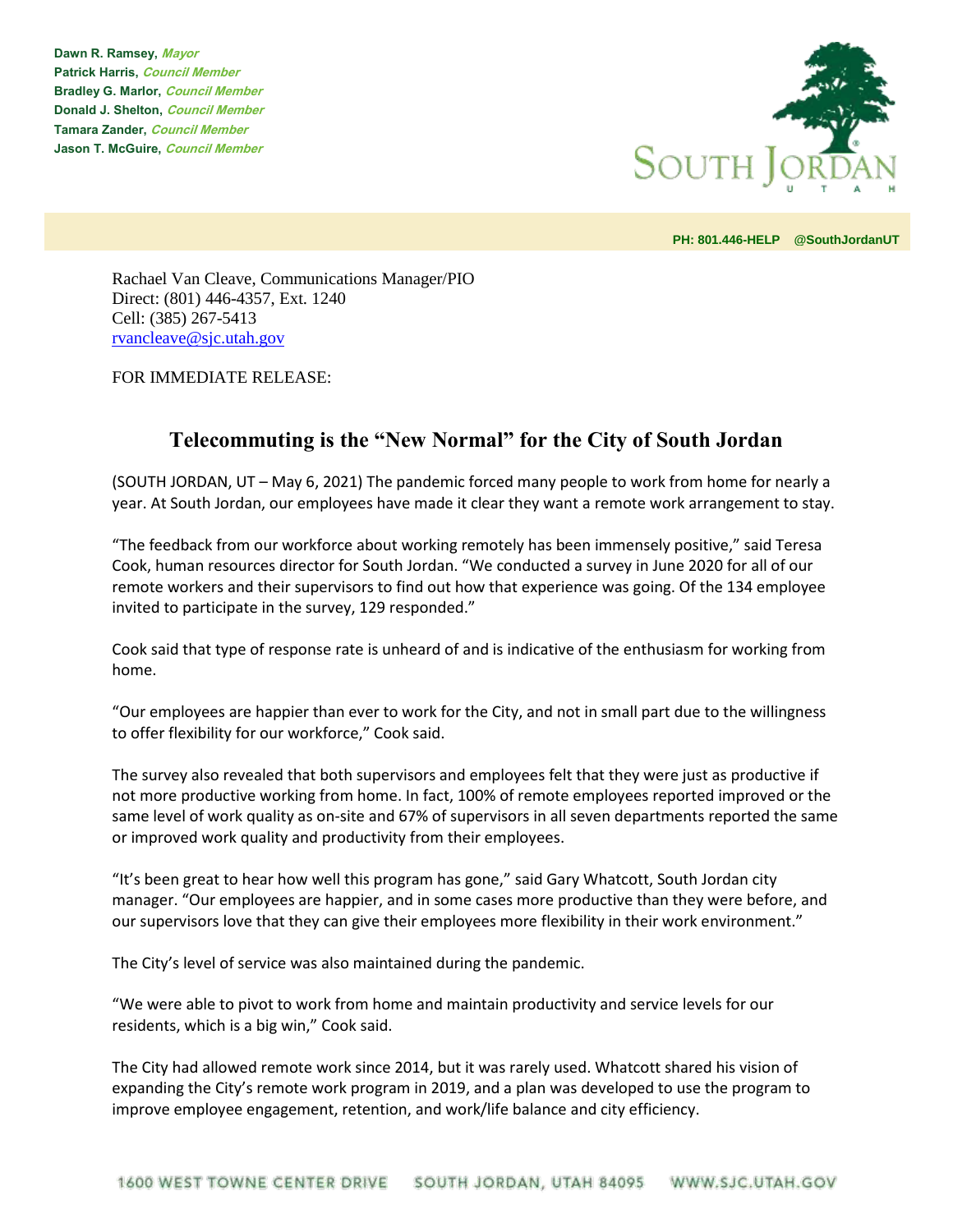**Dawn R. Ramsey, Mayor Patrick Harris, Council Member Bradley G. Marlor, Council Member Donald J. Shelton, Council Member Tamara Zander, Council Member Jason T. McGuire, Council Member**



**PH: 801.446-HELP @SouthJordanUT** 

Rachael Van Cleave, Communications Manager/PIO Direct: (801) 446-4357, Ext. 1240 Cell: (385) 267-5413 [rvancleave@sjc.utah.gov](mailto:rvancleave@sjc.utah.gov)

FOR IMMEDIATE RELEASE:

## **Telecommuting is the "New Normal" for the City of South Jordan**

(SOUTH JORDAN, UT – May 6, 2021) The pandemic forced many people to work from home for nearly a year. At South Jordan, our employees have made it clear they want a remote work arrangement to stay.

"The feedback from our workforce about working remotely has been immensely positive," said Teresa Cook, human resources director for South Jordan. "We conducted a survey in June 2020 for all of our remote workers and their supervisors to find out how that experience was going. Of the 134 employee invited to participate in the survey, 129 responded."

Cook said that type of response rate is unheard of and is indicative of the enthusiasm for working from home.

"Our employees are happier than ever to work for the City, and not in small part due to the willingness to offer flexibility for our workforce," Cook said.

The survey also revealed that both supervisors and employees felt that they were just as productive if not more productive working from home. In fact, 100% of remote employees reported improved or the same level of work quality as on-site and 67% of supervisors in all seven departments reported the same or improved work quality and productivity from their employees.

"It's been great to hear how well this program has gone," said Gary Whatcott, South Jordan city manager. "Our employees are happier, and in some cases more productive than they were before, and our supervisors love that they can give their employees more flexibility in their work environment."

The City's level of service was also maintained during the pandemic.

"We were able to pivot to work from home and maintain productivity and service levels for our residents, which is a big win," Cook said.

The City had allowed remote work since 2014, but it was rarely used. Whatcott shared his vision of expanding the City's remote work program in 2019, and a plan was developed to use the program to improve employee engagement, retention, and work/life balance and city efficiency.